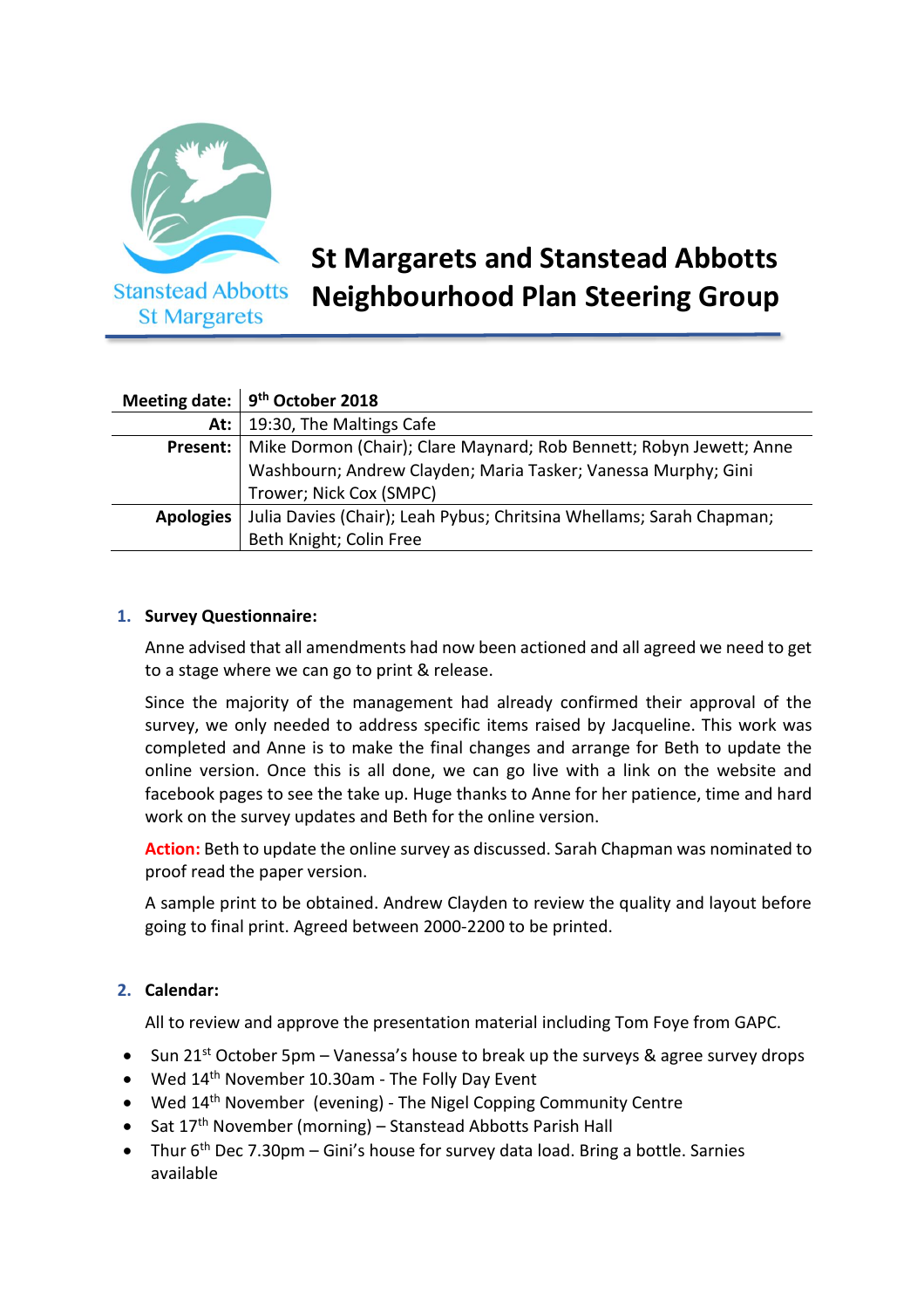

# **St Margarets and Stanstead Abbotts Neighbourhood Plan Steering Group**

|                  | Meeting date: $9th$ October 2018                                     |
|------------------|----------------------------------------------------------------------|
| At:              | 19:30, The Maltings Cafe                                             |
| Present:         | Mike Dormon (Chair); Clare Maynard; Rob Bennett; Robyn Jewett; Anne  |
|                  | Washbourn; Andrew Clayden; Maria Tasker; Vanessa Murphy; Gini        |
|                  | Trower; Nick Cox (SMPC)                                              |
| <b>Apologies</b> | Julia Davies (Chair); Leah Pybus; Chritsina Whellams; Sarah Chapman; |
|                  | Beth Knight; Colin Free                                              |

#### **1. Survey Questionnaire:**

Anne advised that all amendments had now been actioned and all agreed we need to get to a stage where we can go to print & release.

Since the majority of the management had already confirmed their approval of the survey, we only needed to address specific items raised by Jacqueline. This work was completed and Anne is to make the final changes and arrange for Beth to update the online version. Once this is all done, we can go live with a link on the website and facebook pages to see the take up. Huge thanks to Anne for her patience, time and hard work on the survey updates and Beth for the online version.

**Action:** Beth to update the online survey as discussed. Sarah Chapman was nominated to proof read the paper version.

A sample print to be obtained. Andrew Clayden to review the quality and layout before going to final print. Agreed between 2000-2200 to be printed.

## **2. Calendar:**

All to review and approve the presentation material including Tom Foye from GAPC.

- Sun 21<sup>st</sup> October 5pm Vanessa's house to break up the surveys & agree survey drops
- Wed  $14<sup>th</sup>$  November 10.30am The Folly Day Event
- Wed 14<sup>th</sup> November (evening) The Nigel Copping Community Centre
- Sat 17<sup>th</sup> November (morning) Stanstead Abbotts Parish Hall
- Thur  $6<sup>th</sup>$  Dec 7.30pm Gini's house for survey data load. Bring a bottle. Sarnies available